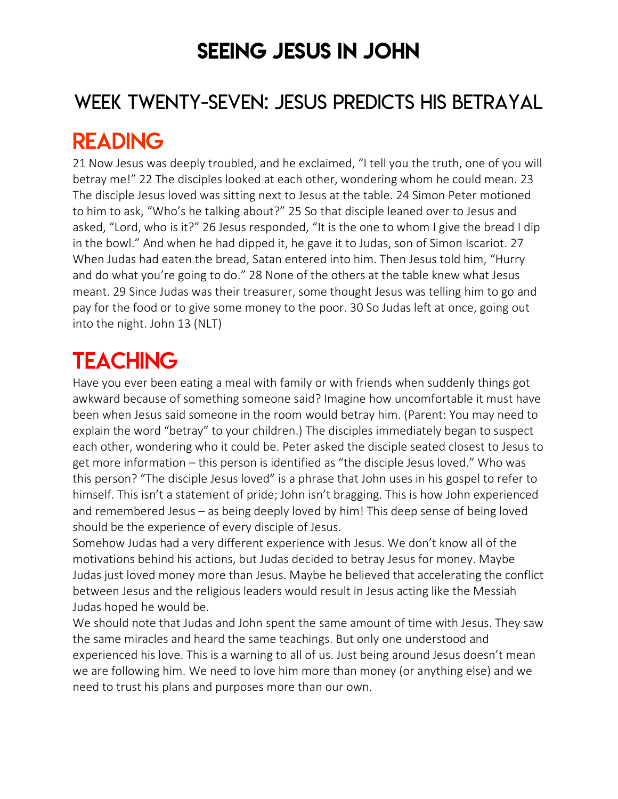### SEEING JESUS IN JOHN

### WEEK TWENTY-SEVEN: JESUS PREDICTS HIS BETRAYAL

### READING

21 Now Jesus was deeply troubled, and he exclaimed, "I tell you the truth, one of you will betray me!" 22 The disciples looked at each other, wondering whom he could mean. 23 The disciple Jesus loved was sitting next to Jesus at the table. 24 Simon Peter motioned to him to ask, "Who's he talking about?" 25 So that disciple leaned over to Jesus and asked, "Lord, who is it?" 26 Jesus responded, "It is the one to whom I give the bread I dip in the bowl." And when he had dipped it, he gave it to Judas, son of Simon Iscariot. 27 When Judas had eaten the bread, Satan entered into him. Then Jesus told him, "Hurry and do what you're going to do." 28 None of the others at the table knew what Jesus meant. 29 Since Judas was their treasurer, some thought Jesus was telling him to go and pay for the food or to give some money to the poor. 30 So Judas left at once, going out into the night. John 13 (NLT)

# **TEACHING**

Have you ever been eating a meal with family or with friends when suddenly things got awkward because of something someone said? Imagine how uncomfortable it must have been when Jesus said someone in the room would betray him. (Parent: You may need to explain the word "betray" to your children.) The disciples immediately began to suspect each other, wondering who it could be. Peter asked the disciple seated closest to Jesus to get more information – this person is identified as "the disciple Jesus loved." Who was this person? "The disciple Jesus loved" is a phrase that John uses in his gospel to refer to himself. This isn't a statement of pride; John isn't bragging. This is how John experienced and remembered Jesus – as being deeply loved by him! This deep sense of being loved should be the experience of every disciple of Jesus.

Somehow Judas had a very different experience with Jesus. We don't know all of the motivations behind his actions, but Judas decided to betray Jesus for money. Maybe Judas just loved money more than Jesus. Maybe he believed that accelerating the conflict between Jesus and the religious leaders would result in Jesus acting like the Messiah Judas hoped he would be.

We should note that Judas and John spent the same amount of time with Jesus. They saw the same miracles and heard the same teachings. But only one understood and experienced his love. This is a warning to all of us. Just being around Jesus doesn't mean we are following him. We need to love him more than money (or anything else) and we need to trust his plans and purposes more than our own.